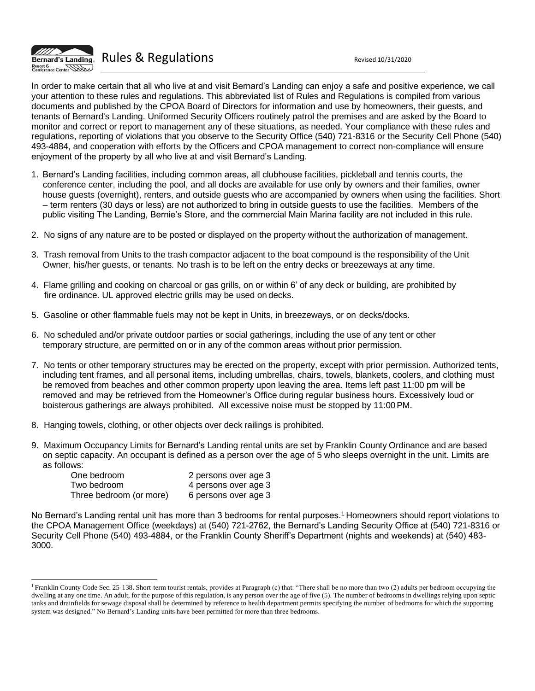

In order to make certain that all who live at and visit Bernard's Landing can enjoy a safe and positive experience, we call your attention to these rules and regulations. This abbreviated list of Rules and Regulations is compiled from various documents and published by the CPOA Board of Directors for information and use by homeowners, their guests, and tenants of Bernard's Landing. Uniformed Security Officers routinely patrol the premises and are asked by the Board to monitor and correct or report to management any of these situations, as needed. Your compliance with these rules and regulations, reporting of violations that you observe to the Security Office (540) 721-8316 or the Security Cell Phone (540) 493-4884, and cooperation with efforts by the Officers and CPOA management to correct non-compliance will ensure enjoyment of the property by all who live at and visit Bernard's Landing.

- 1. Bernard's Landing facilities, including common areas, all clubhouse facilities, pickleball and tennis courts, the conference center, including the pool, and all docks are available for use only by owners and their families, owner house guests (overnight), renters, and outside guests who are accompanied by owners when using the facilities. Short – term renters (30 days or less) are not authorized to bring in outside guests to use the facilities. Members of the public visiting The Landing, Bernie's Store, and the commercial Main Marina facility are not included in this rule.
- 2. No signs of any nature are to be posted or displayed on the property without the authorization of management.
- 3. Trash removal from Units to the trash compactor adjacent to the boat compound is the responsibility of the Unit Owner, his/her guests, or tenants. No trash is to be left on the entry decks or breezeways at any time.
- 4. Flame grilling and cooking on charcoal or gas grills, on or within 6' of any deck or building, are prohibited by fire ordinance. UL approved electric grills may be used on decks.
- 5. Gasoline or other flammable fuels may not be kept in Units, in breezeways, or on decks/docks.
- 6. No scheduled and/or private outdoor parties or social gatherings, including the use of any tent or other temporary structure, are permitted on or in any of the common areas without prior permission.
- 7. No tents or other temporary structures may be erected on the property, except with prior permission. Authorized tents, including tent frames, and all personal items, including umbrellas, chairs, towels, blankets, coolers, and clothing must be removed from beaches and other common property upon leaving the area. Items left past 11:00 pm will be removed and may be retrieved from the Homeowner's Office during regular business hours. Excessively loud or boisterous gatherings are always prohibited. All excessive noise must be stopped by 11:00PM.
- 8. Hanging towels, clothing, or other objects over deck railings is prohibited.
- 9. Maximum Occupancy Limits for Bernard's Landing rental units are set by Franklin County Ordinance and are based on septic capacity. An occupant is defined as a person over the age of 5 who sleeps overnight in the unit. Limits are as follows:

| One bedroom             | 2 persons over age 3 |
|-------------------------|----------------------|
| Two bedroom             | 4 persons over age 3 |
| Three bedroom (or more) | 6 persons over age 3 |

No Bernard's Landing rental unit has more than 3 bedrooms for rental purposes.<sup>1</sup> Homeowners should report violations to the CPOA Management Office (weekdays) at (540) 721-2762, the Bernard's Landing Security Office at (540) 721-8316 or Security Cell Phone (540) 493-4884, or the Franklin County Sheriff's Department (nights and weekends) at (540) 483- 3000.

<sup>&</sup>lt;sup>1</sup> Franklin County Code Sec. 25-138. Short-term tourist rentals, provides at Paragraph (c) that: "There shall be no more than two (2) adults per bedroom occupying the dwelling at any one time. An adult, for the purpose of this regulation, is any person over the age of five (5). The number of bedrooms in dwellings relying upon septic tanks and drainfields for sewage disposal shall be determined by reference to health department permits specifying the number of bedrooms for which the supporting system was designed." No Bernard's Landing units have been permitted for more than three bedrooms.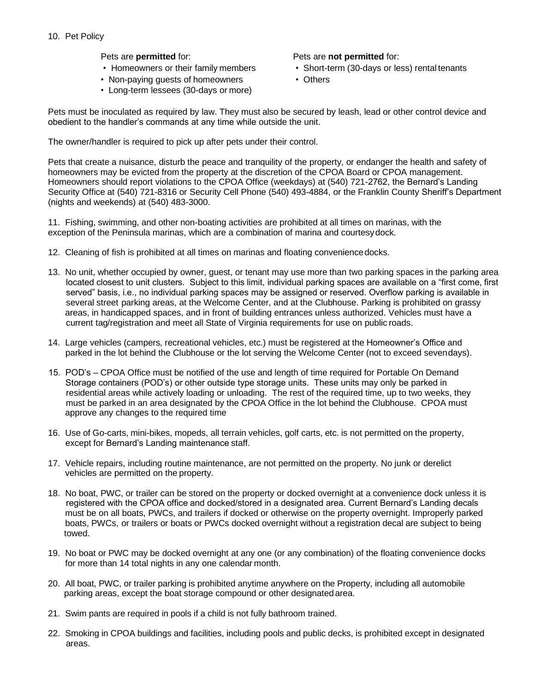Pets are **permitted** for:

- Homeowners or their family members
- Non-paying guests of homeowners
- Long-term lessees (30-days or more)

Pets are **not permitted** for:

- Short-term (30-days or less) rental tenants
- Others

Pets must be inoculated as required by law. They must also be secured by leash, lead or other control device and obedient to the handler's commands at any time while outside the unit.

The owner/handler is required to pick up after pets under their control.

Pets that create a nuisance, disturb the peace and tranquility of the property, or endanger the health and safety of homeowners may be evicted from the property at the discretion of the CPOA Board or CPOA management. Homeowners should report violations to the CPOA Office (weekdays) at (540) 721-2762, the Bernard's Landing Security Office at (540) 721-8316 or Security Cell Phone (540) 493-4884, or the Franklin County Sheriff's Department (nights and weekends) at (540) 483-3000.

11. Fishing, swimming, and other non-boating activities are prohibited at all times on marinas, with the exception of the Peninsula marinas, which are a combination of marina and courtesydock.

- 12. Cleaning of fish is prohibited at all times on marinas and floating conveniencedocks.
- 13. No unit, whether occupied by owner, guest, or tenant may use more than two parking spaces in the parking area located closest to unit clusters. Subject to this limit, individual parking spaces are available on a "first come, first served" basis, i.e., no individual parking spaces may be assigned or reserved. Overflow parking is available in several street parking areas, at the Welcome Center, and at the Clubhouse. Parking is prohibited on grassy areas, in handicapped spaces, and in front of building entrances unless authorized. Vehicles must have a current tag/registration and meet all State of Virginia requirements for use on public roads.
- 14. Large vehicles (campers, recreational vehicles, etc.) must be registered at the Homeowner's Office and parked in the lot behind the Clubhouse or the lot serving the Welcome Center (not to exceed sevendays).
- 15. POD's CPOA Office must be notified of the use and length of time required for Portable On Demand Storage containers (POD's) or other outside type storage units. These units may only be parked in residential areas while actively loading or unloading. The rest of the required time, up to two weeks, they must be parked in an area designated by the CPOA Office in the lot behind the Clubhouse. CPOA must approve any changes to the required time
- 16. Use of Go-carts, mini-bikes, mopeds, all terrain vehicles, golf carts, etc. is not permitted on the property, except for Bernard's Landing maintenance staff.
- 17. Vehicle repairs, including routine maintenance, are not permitted on the property. No junk or derelict vehicles are permitted on the property.
- 18. No boat, PWC, or trailer can be stored on the property or docked overnight at a convenience dock unless it is registered with the CPOA office and docked/stored in a designated area. Current Bernard's Landing decals must be on all boats, PWCs, and trailers if docked or otherwise on the property overnight. Improperly parked boats, PWCs, or trailers or boats or PWCs docked overnight without a registration decal are subject to being towed.
- 19. No boat or PWC may be docked overnight at any one (or any combination) of the floating convenience docks for more than 14 total nights in any one calendar month.
- 20. All boat, PWC, or trailer parking is prohibited anytime anywhere on the Property, including all automobile parking areas, except the boat storage compound or other designated area.
- 21. Swim pants are required in pools if a child is not fully bathroom trained.
- 22. Smoking in CPOA buildings and facilities, including pools and public decks, is prohibited except in designated areas.